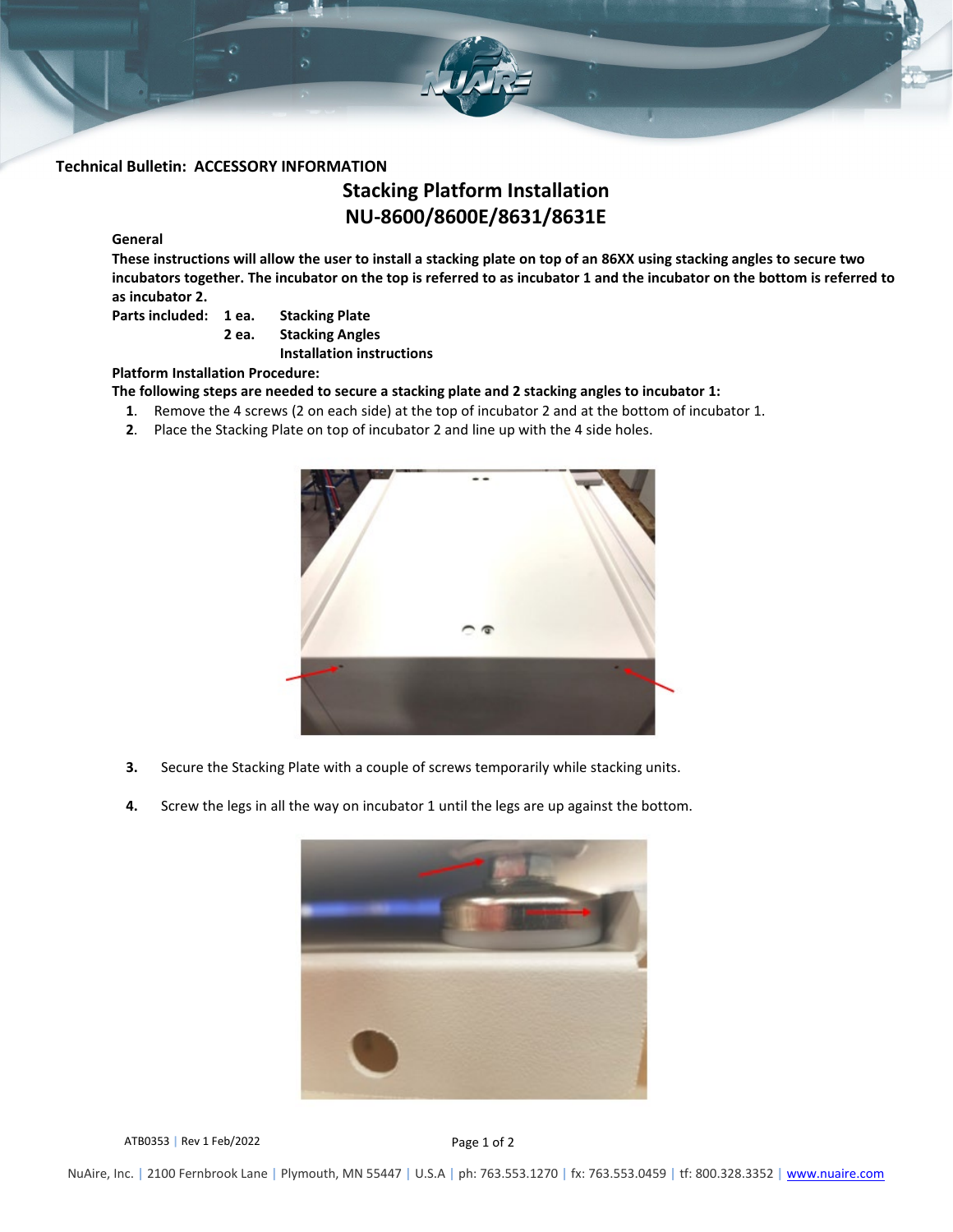

## **Technical Bulletin: ACCESSORY INFORMATION**

# **Stacking Platform Installation NU-8600/8600E/8631/8631E**

## **General**

**These instructions will allow the user to install a stacking plate on top of an 86XX using stacking angles to secure two incubators together. The incubator on the top is referred to as incubator 1 and the incubator on the bottom is referred to as incubator 2.** 

**Parts included: 1 ea. Stacking Plate**

**2 ea. Stacking Angles**

**Installation instructions**

## **Platform Installation Procedure:**

**The following steps are needed to secure a stacking plate and 2 stacking angles to incubator 1:**

- **1**. Remove the 4 screws (2 on each side) at the top of incubator 2 and at the bottom of incubator 1.
- **2**. Place the Stacking Plate on top of incubator 2 and line up with the 4 side holes.



- **3.** Secure the Stacking Plate with a couple of screws temporarily while stacking units.
- **4.** Screw the legs in all the way on incubator 1 until the legs are up against the bottom.



ATB0353 | Rev 1 Feb/2022 **Page 1 of 2**